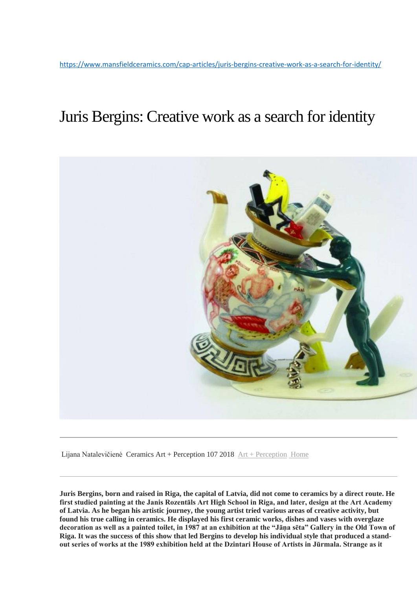# Juris Bergins: Creative work as a search for identity



Lijana Natalevičienė Ceramics Art + Perception 107 2018 [Art + Perception](https://www.mansfieldceramics.com/section/artperception/) [Home](https://www.mansfieldceramics.com/cap-magazine/clay-pit/)

**Juris Bergins, born and raised in Riga, the capital of Latvia, did not come to ceramics by a direct route. He first studied painting at the Janis Rozentāls Art High School in Riga, and later, design at the Art Academy of Latvia. As he began his artistic journey, the young artist tried various areas of creative activity, but found his true calling in ceramics. He displayed his first ceramic works, dishes and vases with overglaze decoration as well as a painted toilet, in 1987 at an exhibition at the "Jāņa sēta" Gallery in the Old Town of Riga. It was the success of this show that led Bergins to develop his individual style that produced a standout series of works at the 1989 exhibition held at the Dzintari House of Artists in Jūrmala. Strange as it**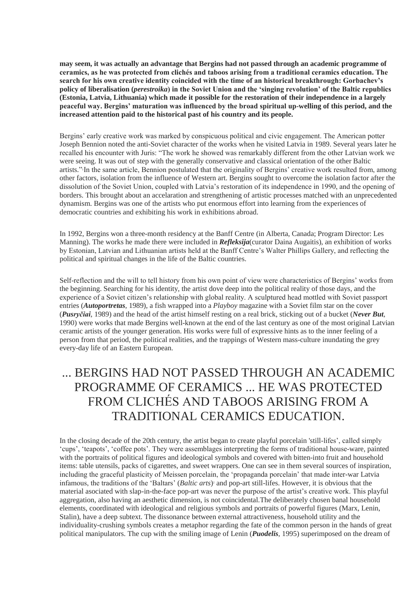**may seem, it was actually an advantage that Bergins had not passed through an academic programme of ceramics, as he was protected from clichés and taboos arising from a traditional ceramics education. The search for his own creative identity coincided with the time of an historical breakthrough: Gorbachev's policy of liberalisation (***perestroika***) in the Soviet Union and the 'singing revolution' of the Baltic republics (Estonia, Latvia, Lithuania) which made it possible for the restoration of their independence in a largely peaceful way. Bergins' maturation was influenced by the broad spiritual up-welling of this period, and the increased attention paid to the historical past of his country and its people.**

Bergins' early creative work was marked by conspicuous political and civic engagement. The American potter Joseph Bennion noted the anti-Soviet character of the works when he visited Latvia in 1989. Several years later he recalled his encounter with Juris: "The work he showed was remarkably different from the other Latvian work we were seeing. It was out of step with the generally conservative and classical orientation of the other Baltic artists." In the same article, Bennion postulated that the originality of Bergins' creative work resulted from, among other factors, isolation from the influence of Western art. Bergins sought to overcome the isolation factor after the dissolution of the Soviet Union, coupled with Latvia's restoration of its independence in 1990, and the opening of borders. This brought about an accelaration and strengthening of artistic processes matched with an unprecedented dynamism. Bergins was one of the artists who put enormous effort into learning from the experiences of democratic countries and exhibiting his work in exhibitions abroad.

In 1992, Bergins won a three-month residency at the Banff Centre (in Alberta, Canada; Program Director: Les Manning). The works he made there were included in *Refleksija*(curator Daina Augaitis), an exhibition of works by Estonian, Latvian and Lithuanian artists held at the Banff Centre's Walter Phillips Gallery, and reflecting the political and spiritual changes in the life of the Baltic countries.

Self-reflection and the will to tell history from his own point of view were characteristics of Bergins' works from the beginning. Searching for his identity, the artist dove deep into the political reality of those days, and the experience of a Soviet citizen's relationship with global reality. A sculptured head mottled with Soviet passport entries (*Autoportretas*, 1989), a fish wrapped into a *Playboy* magazine with a Soviet film star on the cover (*Pusryčiai*, 1989) and the head of the artist himself resting on a real brick, sticking out of a bucket (*Never But*, 1990) were works that made Bergins well-known at the end of the last century as one of the most original Latvian ceramic artists of the younger generation. His works were full of expressive hints as to the inner feeling of a person from that period, the political realities, and the trappings of Western mass-culture inundating the grey every-day life of an Eastern European.

# ... BERGINS HAD NOT PASSED THROUGH AN ACADEMIC PROGRAMME OF CERAMICS ... HE WAS PROTECTED FROM CLICHÉS AND TABOOS ARISING FROM A TRADITIONAL CERAMICS EDUCATION.

In the closing decade of the 20th century, the artist began to create playful porcelain 'still-lifes', called simply 'cups', 'teapots', 'coffee pots'. They were assemblages interpreting the forms of traditional house-ware, painted with the portraits of political figures and ideological symbols and covered with bitten-into fruit and household items: table utensils, packs of cigarettes, and sweet wrappers. One can see in them several sources of inspiration, including the graceful plasticity of Meissen porcelain, the 'propaganda porcelain' that made inter-war Latvia infamous, the traditions of the 'Baltars' (*Baltic arts*) <sup>2</sup> and pop-art still-lifes. However, it is obvious that the material asociated with slap-in-the-face pop-art was never the purpose of the artist's creative work. This playful aggregation, also having an aesthetic dimension, is not coincidental.The deliberately chosen banal household elements, coordinated with ideological and religious symbols and portraits of powerful figures (Marx, Lenin, Stalin), have a deep subtext. The dissonance between external attractiveness, household utility and the individuality-crushing symbols creates a metaphor regarding the fate of the common person in the hands of great political manipulators. The cup with the smiling image of Lenin (*Puodelis*, 1995) superimposed on the dream of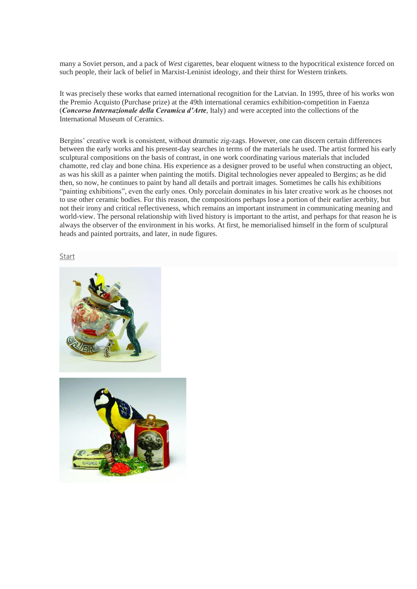many a Soviet person, and a pack of *West* cigarettes, bear eloquent witness to the hypocritical existence forced on such people, their lack of belief in Marxist-Leninist ideology, and their thirst for Western trinkets.

It was precisely these works that earned international recognition for the Latvian. In 1995, three of his works won the Premio Acquisto (Purchase prize) at the 49th international ceramics exhibition-competition in Faenza (*Concorso Internazionale della Ceramica d'Arte*, Italy) and were accepted into the collections of the International Museum of Ceramics.

Bergins' creative work is consistent, without dramatic zig-zags. However, one can discern certain differences between the early works and his present-day searches in terms of the materials he used. The artist formed his early sculptural compositions on the basis of contrast, in one work coordinating various materials that included chamotte, red clay and bone china. His experience as a designer proved to be useful when constructing an object, as was his skill as a painter when painting the motifs. Digital technologies never appealed to Bergins; as he did then, so now, he continues to paint by hand all details and portrait images. Sometimes he calls his exhibitions "painting exhibitions", even the early ones. Only porcelain dominates in his later creative work as he chooses not to use other ceramic bodies. For this reason, the compositions perhaps lose a portion of their earlier acerbity, but not their irony and critical reflectiveness, which remains an important instrument in communicating meaning and world-view. The personal relationship with lived history is important to the artist, and perhaps for that reason he is always the observer of the environment in his works. At first, he memorialised himself in the form of sculptural heads and painted portraits, and later, in nude figures.

### **[Start](javascript:void(0))**



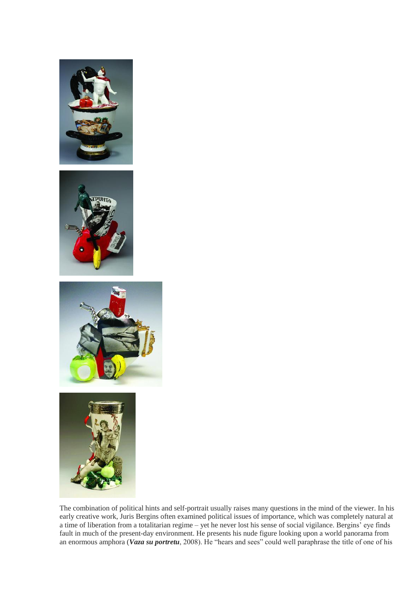







The combination of political hints and self-portrait usually raises many questions in the mind of the viewer. In his early creative work, Juris Bergins often examined political issues of importance, which was completely natural at a time of liberation from a totalitarian regime – yet he never lost his sense of social vigilance. Bergins' eye finds fault in much of the present-day environment. He presents his nude figure looking upon a world panorama from an enormous amphora (*Vaza su portretu*, 2008). He "hears and sees" could well paraphrase the title of one of his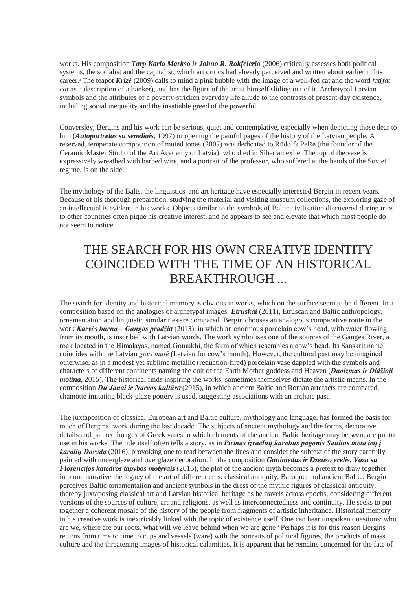works. His composition *Tarp Karlo Markso ir Johno R. Rokfelerio* (2006) critically assesses both political systems, the socialist and the capitalist, which art critics had already perceived and written about earlier in his career. <sup>3</sup> The teapot *Krizė* (2009) calls to mind a pink bubble with the image of a well-fed cat and the word *fat*(*fat cat* as a description of a banker), and has the figure of the artist himself sliding out of it. Archetypal Latvian symbols and the attributes of a poverty-stricken everyday life allude to the contrasts of present-day existence, including social inequality and the insatiable greed of the powerful.

Conversley, Bergins and his work can be serious, quiet and contemplative, especially when depicting those dear to him (*Autoportretas su seneliais*, 1997) or opening the painful pages of the history of the Latvian people. A reserved, temperate composition of muted tones (2007) was dedicated to Rūdolfs Pelše (the founder of the Ceramic Master Studio of the Art Academy of Latvia), who died in Siberian exile. The top of the vase is expressively wreathed with barbed wire, and a portrait of the professor, who suffered at the hands of the Soviet regime, is on the side.

The mythology of the Balts, the linguistics<sup>4</sup> and art heritage have especially interested Bergin in recent years. Because of his thorough preparation, studying the material and visiting museum collections, the exploring gaze of an intellectual is evident in his works. Objects similar to the symbols of Baltic civilisation discovered during trips to other countries often pique his creative interest, and he appears to see and elevate that which most people do not seem to notice.

# THE SEARCH FOR HIS OWN CREATIVE IDENTITY COINCIDED WITH THE TIME OF AN HISTORICAL BREAKTHROUGH ...

The search for identity and historical memory is obvious in works, which on the surface seem to be different. In a composition based on the analogies of archetypal images, *Etruskai* (2011), Etruscan and Baltic anthropology, ornamentation and linguistic similarities <sup>5</sup>are compared. Bergin chooses an analogous comparative route in the work *Karvės burna – Gangos pradžia* (2013), in which an enormous porcelain cow's head, with water flowing from its mouth, is inscribed with Latvian words. The work symbolises one of the sources of the Ganges River, a rock located in the Himalayas, named Gomukhi, the form of which resembles a cow's head. Its Sanskrit name coincides with the Latvian *govs mutē* (Latvian for cow's mouth). However, the cultural past may be imagined otherwise, as in a modest yet sublime metallic (reduction-fired) porcelain vase dappled with the symbols and characters of different continents naming the cult of the Earth Mother goddess and Heaven (*Daoizmas ir Didžioji motina*, 2015). The historical finds inspiring the works, sometimes themselves dictate the artistic means. In the composition *Du Janai ir Narvos kultūra*<sup>6</sup>(2015), in which ancient Baltic and Roman artefacts are compared, chamotte imitating black-glaze pottery is used, suggesting associations with an archaic past.

The juxtaposition of classical European art and Baltic culture, mythology and language, has formed the basis for much of Bergins' work during the last decade. The subjects of ancient mythology and the forms, decorative details and painted images of Greek vases in which elements of the ancient Baltic heritage may be seen, are put to use in his works. The title itself often tells a story, as in *Pirmas izraelitų karalius pagonis Saulius meta ietį į karalių Dovydą* (2016), provoking one to read between the lines and consider the subtext of the story carefully painted with underglaze and overglaze decoration. In the composition *Ganimedas ir Dzeuso erelis. Vaza su Florencijos katedros tapybos motyvais* (2015), the plot of the ancient myth becomes a pretext to draw together into one narrative the legacy of the art of different eras: classical antiquity, Baroque, and ancient Baltic. Bergin perceives Baltic ornamentation and ancient symbols in the dress of the mythic figures of classical antiquity, thereby juxtaposing classical art and Latvian historical heritage as he travels across epochs, considering different versions of the sources of culture, art and religions, as well as interconnectedness and continuity. He seeks to put together a coherent mosaic of the history of the people from fragments of artistic inheritance. Historical memory in his creative work is inextricably linked with the topic of existence itself. One can hear unspoken questions: who are we, where are our roots, what will we leave behind when we are gone? Perhaps it is for this reason Bergins returns from time to time to cups and vessels (ware) with the portraits of political figures, the products of mass culture and the threatening images of historical calamities. It is apparent that he remains concerned for the fate of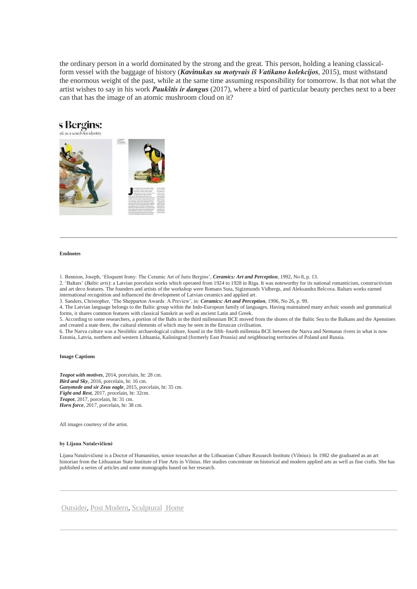the ordinary person in a world dominated by the strong and the great. This person, holding a leaning classicalform vessel with the baggage of history (*Kavinukas su motyvais iš Vatikano kolekcijos*, 2015), must withstand the enormous weight of the past, while at the same time assuming responsibility for tomorrow. Is that not what the artist wishes to say in his work *Paukštis ir dangus* (2017), where a bird of particular beauty perches next to a beer can that has the image of an atomic mushroom cloud on it?



#### **Endnotes**

1. Bennion, Joseph, 'Eloquent Irony: The Ceramic Art of Juris Bergins', *Ceramics: Art and Perception*, 1992, No 8, p. 13.

2. 'Baltars' (*Baltic arts*): a Latvian porcelain works which operated from 1924 to 1928 in Riga. It was noteworthy for its national romanticism, constructivism and art deco features. The founders and artists of the workshop were Romans Suta, Sigizmunds Vidbergs, and Aleksandra Belcova. Baltars works earned international recognition and influenced the development of Latvian ceramics and applied art.

3. Sanders, Christopher, 'The Shepparton Awards: A Preview', in: *Ceramics: Art and Perception*, 1996, No 26, p. 99.

4. The Latvian language belongs to the Baltic group within the Indo-European family of languages. Having maintained many archaic sounds and grammatical forms, it shares common features with classical Sanskrit as well as ancient Latin and Greek.

5. According to some researchers, a portion of the Balts in the third millennium BCE moved from the shores of the Baltic Sea to the Balkans and the Apennines and created a state there, the cultural elements of which may be seen in the Etruscan civilisation.

6. The Narva culture was a Neolithic archaeological culture, found in the fifth–fourth millennia BCE between the Narva and Nemunas rivers in what is now Estonia, Latvia, northern and western Lithuania, Kaliningrad (formerly East Prussia) and neighbouring territories of Poland and Russia.

### **Image Captions**

*Teapot with motives*, 2014, porcelain, ht: 28 cm. *Bird and Sky*, 2016, porcelain, ht: 16 cm. *Ganymede and sir Zeus eagle*, 2015, porcelain, ht: 35 cm. *Fight and Rest*, 2017, procelain, ht: 32cm. *Teapot*, 2017, porcelain, ht: 31 cm. *Horn force*, 2017, porcelain, ht: 38 cm.

All images courtesy of the artist.

#### **by Lijana Natalevičienė**

Lijana Natalevičienė is a Doctor of Humanities, senior researcher at the Lithuanian Culture Research Institute (Vilnius). In 1982 she graduated as an art historian from the Lithuanian State Institute of Fine Arts in Vilnius. Her studies concentrate on historical and modern applied arts as well as fine crafts. She has published a series of articles and some monographs based on her research.

[Outsider,](https://www.mansfieldceramics.com/content/outsider/) [Post Modern,](https://www.mansfieldceramics.com/content/post-modern/) [Sculptural](https://www.mansfieldceramics.com/content/sculptural/) [Home](https://www.mansfieldceramics.com/cap-magazine/clay-pit/)